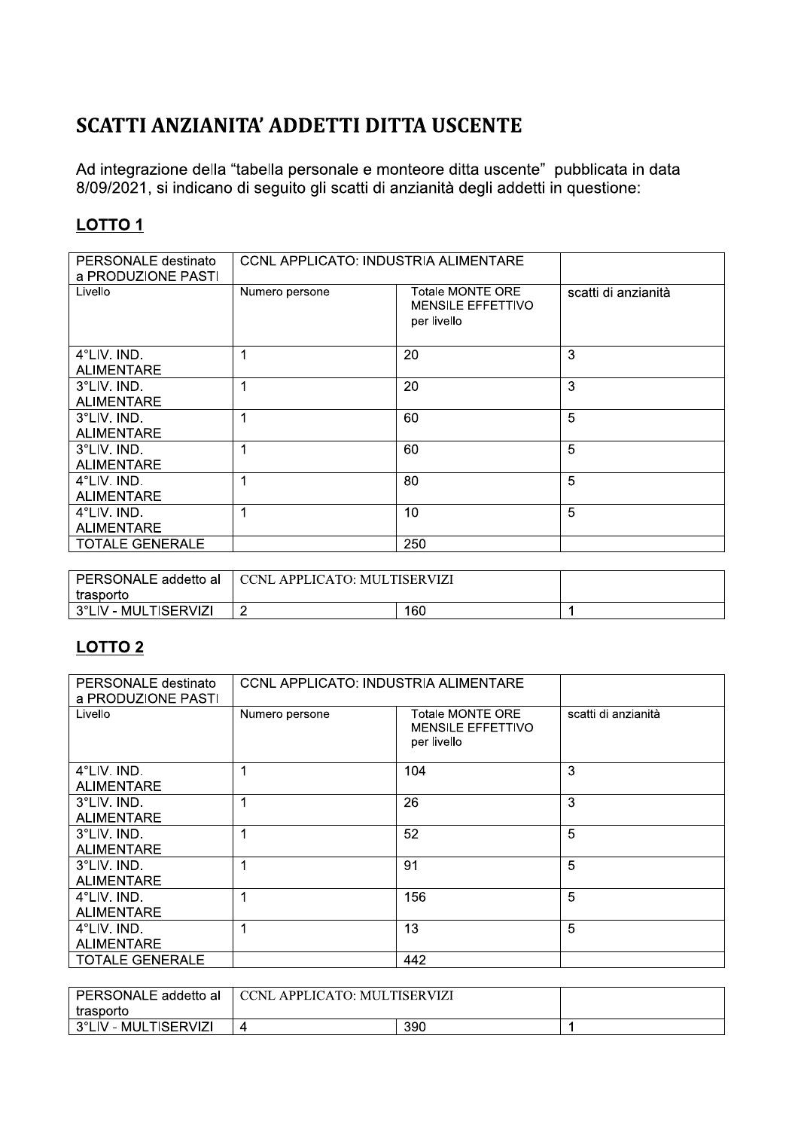## SCATTI ANZIANITA' ADDETTI DITTA USCENTE

| SCATTI ANZIANITA' ADDETTI DITTA USCENTE   |                                             |                                                                                                                                                                                |                     |  |  |
|-------------------------------------------|---------------------------------------------|--------------------------------------------------------------------------------------------------------------------------------------------------------------------------------|---------------------|--|--|
| <b>LOTTO1</b>                             |                                             | Ad integrazione della "tabella personale e monteore ditta uscente" pubblicata in data<br>8/09/2021, si indicano di seguito gli scatti di anzianità degli addetti in questione: |                     |  |  |
| PERSONALE destinato<br>a PRODUZIONE PASTI | <b>CCNL APPLICATO: INDUSTRIA ALIMENTARE</b> |                                                                                                                                                                                |                     |  |  |
| Livello                                   | Numero persone                              | <b>Totale MONTE ORE</b><br>MENSILE EFFETTIVO<br>per livello                                                                                                                    | scatti di anzianità |  |  |
| 4°LIV. IND.<br><b>ALIMENTARE</b>          | $\mathbf 1$                                 | 20                                                                                                                                                                             | 3                   |  |  |
| 3°LIV. IND.<br><b>ALIMENTARE</b>          | 1                                           | 20                                                                                                                                                                             | 3                   |  |  |
| 3°LIV. IND.<br><b>ALIMENTARE</b>          | 1                                           | 60                                                                                                                                                                             | 5                   |  |  |
| 3°LIV. IND.<br><b>ALIMENTARE</b>          | 1                                           | 60                                                                                                                                                                             | 5                   |  |  |
| 4°LIV. IND.<br><b>ALIMENTARE</b>          | 1                                           | 80                                                                                                                                                                             | 5                   |  |  |
| 4°LIV. IND.<br><b>ALIMENTARE</b>          | 1                                           | 10                                                                                                                                                                             | 5                   |  |  |
| <b>TOTALE GENERALE</b>                    |                                             | 250                                                                                                                                                                            |                     |  |  |

| PERSONALE addetto al  | CCNL APPLICATO: MULTISERVIZI) ، |     |  |
|-----------------------|---------------------------------|-----|--|
| trasporto             |                                 |     |  |
| ⊢3°LIV - MULTISERVIZI |                                 | 160 |  |

## **LOTTO 2**

| PERSONALE destinato<br>a PRODUZIONE PASTI | CCNL APPLICATO: INDUSTRIA ALIMENTARE |                                                             |                     |
|-------------------------------------------|--------------------------------------|-------------------------------------------------------------|---------------------|
| Livello                                   | Numero persone                       | Totale MONTE ORE<br><b>MENSILE EFFETTIVO</b><br>per livello | scatti di anzianità |
| 4°LIV. IND.<br><b>ALIMENTARE</b>          | и                                    | 104                                                         | 3                   |
| 3°LIV. IND.<br><b>ALIMENTARE</b>          | и                                    | 26                                                          | 3                   |
| 3°LIV. IND.<br><b>ALIMENTARE</b>          | и                                    | 52                                                          | 5                   |
| 3°LIV. IND.<br><b>ALIMENTARE</b>          |                                      | 91                                                          | 5                   |
| 4°LIV. IND.<br><b>ALIMENTARE</b>          | 4                                    | 156                                                         | 5                   |
| 4°LIV. IND.<br><b>ALIMENTARE</b>          | 4                                    | 13                                                          | 5                   |
| <b>TOTALE GENERALE</b>                    |                                      | 442                                                         |                     |

| PERSONALE addetto al  | □ CCNL APPLICATO: MULTISERVIZI |     |  |
|-----------------------|--------------------------------|-----|--|
| trasporto             |                                |     |  |
| ⊢3°LIV - MULTISERVIZI |                                | 390 |  |